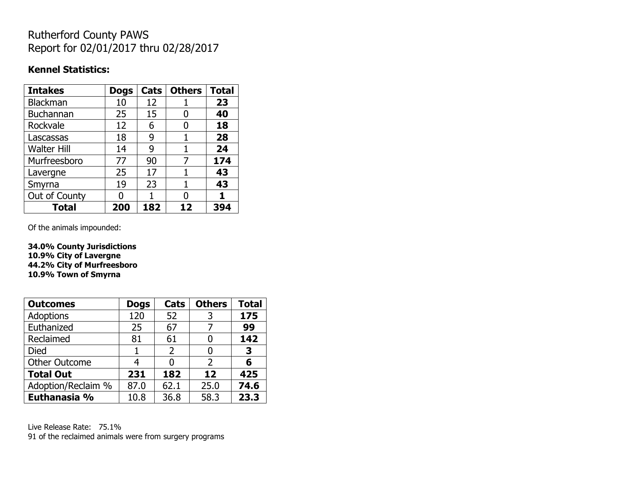## Rutherford County PAWS Report for 02/01/2017 thru 02/28/2017

#### **Kennel Statistics:**

| <b>Intakes</b>     | <b>Dogs</b> | Cats | <b>Others</b> | <b>Total</b> |
|--------------------|-------------|------|---------------|--------------|
| Blackman           | 10          | 12   |               | 23           |
| <b>Buchannan</b>   | 25          | 15   | 0             | 40           |
| Rockvale           | 12          | 6    | 0             | 18           |
| Lascassas          | 18          | 9    |               | 28           |
| <b>Walter Hill</b> | 14          | 9    | 1             | 24           |
| Murfreesboro       | 77          | 90   | 7             | 174          |
| Lavergne           | 25          | 17   |               | 43           |
| Smyrna             | 19          | 23   | 1             | 43           |
| Out of County      |             | 1    | 0             |              |
| Total              | 200         | 182  | 12            | 394          |

Of the animals impounded:

**34.0% County Jurisdictions 10.9% City of Lavergne 44.2% City of Murfreesboro 10.9% Town of Smyrna**

| <b>Outcomes</b>      | <b>Dogs</b> | <b>Cats</b>    | <b>Others</b> | <b>Total</b> |
|----------------------|-------------|----------------|---------------|--------------|
| <b>Adoptions</b>     | 120         | 52             | 3             | 175          |
| Euthanized           | 25          | 67             |               | 99           |
| Reclaimed            | 81          | 61             |               | 142          |
| Died                 |             | $\overline{2}$ |               | 3            |
| <b>Other Outcome</b> | 4           |                | 2             | 6            |
| <b>Total Out</b>     | 231         | 182            | 12            | 425          |
| Adoption/Reclaim %   | 87.0        | 62.1           | 25.0          | 74.6         |
| Euthanasia %         | 10.8        | 36.8           | 58.3          | 23.3         |

Live Release Rate: 75.1% 91 of the reclaimed animals were from surgery programs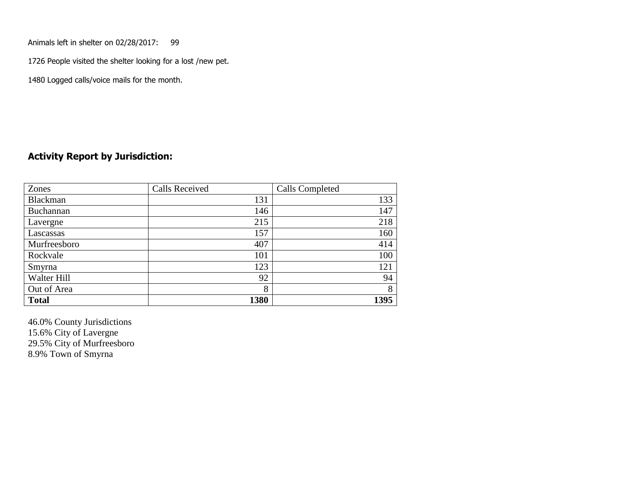Animals left in shelter on 02/28/2017: 99

1726 People visited the shelter looking for a lost /new pet.

1480 Logged calls/voice mails for the month.

#### **Activity Report by Jurisdiction:**

| Zones           | <b>Calls Received</b> | Calls Completed |
|-----------------|-----------------------|-----------------|
| <b>Blackman</b> | 131                   | 133             |
| Buchannan       | 146                   | 147             |
| Lavergne        | 215                   | 218             |
| Lascassas       | 157                   | 160             |
| Murfreesboro    | 407                   | 414             |
| Rockvale        | 101                   | 100             |
| Smyrna          | 123                   | 121             |
| Walter Hill     | 92                    | 94              |
| Out of Area     | 8                     | 8               |
| <b>Total</b>    | 1380                  | 1395            |

46.0% County Jurisdictions 15.6% City of Lavergne 29.5% City of Murfreesboro 8.9% Town of Smyrna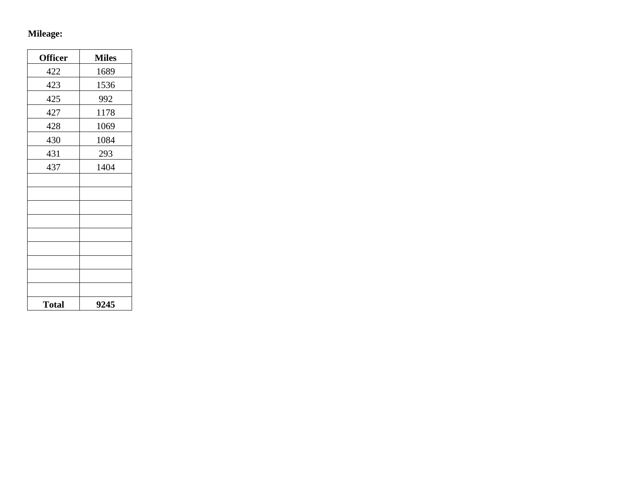# **Mileage:**

| <b>Officer</b> | <b>Miles</b> |
|----------------|--------------|
| 422            | 1689         |
| 423            | 1536         |
| 425            | 992          |
| 427            | 1178         |
| 428            | 1069         |
| 430            | 1084         |
| 431            | 293          |
| 437            | 1404         |
|                |              |
|                |              |
|                |              |
|                |              |
|                |              |
|                |              |
|                |              |
|                |              |
|                |              |
| <b>Total</b>   | 9245         |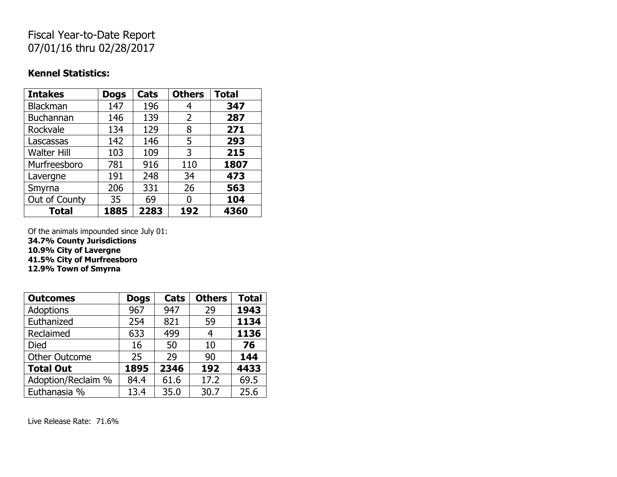## Fiscal Year-to-Date Report 07/01/16 thru 02/28/2017

#### **Kennel Statistics:**

| <b>Intakes</b>     | <b>Dogs</b> | Cats | <b>Others</b> | <b>Total</b> |
|--------------------|-------------|------|---------------|--------------|
| Blackman           | 147         | 196  | 4             | 347          |
| Buchannan          | 146         | 139  | 2             | 287          |
| Rockvale           | 134         | 129  | 8             | 271          |
| Lascassas          | 142         | 146  | 5             | 293          |
| <b>Walter Hill</b> | 103         | 109  | 3             | 215          |
| Murfreesboro       | 781         | 916  | 110           | 1807         |
| Lavergne           | 191         | 248  | 34            | 473          |
| Smyrna             | 206         | 331  | 26            | 563          |
| Out of County      | 35          | 69   | O             | 104          |
| <b>Total</b>       | 1885        | 2283 | 192           | 4360         |

Of the animals impounded since July 01:

**34.7% County Jurisdictions**

**10.9% City of Lavergne**

**41.5% City of Murfreesboro**

**12.9% Town of Smyrna**

| <b>Outcomes</b>      | <b>Dogs</b> | Cats | <b>Others</b> | <b>Total</b> |
|----------------------|-------------|------|---------------|--------------|
| <b>Adoptions</b>     | 967         | 947  | 29            | 1943         |
| Euthanized           | 254         | 821  | 59            | 1134         |
| Reclaimed            | 633         | 499  | 4             | 1136         |
| <b>Died</b>          | 16          | 50   | 10            | 76           |
| <b>Other Outcome</b> | 25          | 29   | 90            | 144          |
| <b>Total Out</b>     | 1895        | 2346 | 192           | 4433         |
| Adoption/Reclaim %   | 84.4        | 61.6 | 17.2          | 69.5         |
| Euthanasia %         | 13.4        | 35.0 | 30.7          | 25.6         |

Live Release Rate: 71.6%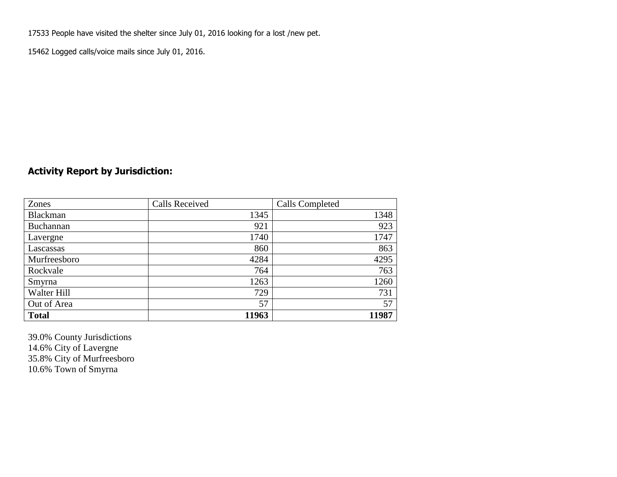17533 People have visited the shelter since July 01, 2016 looking for a lost /new pet.

15462 Logged calls/voice mails since July 01, 2016.

### **Activity Report by Jurisdiction:**

| Zones           | <b>Calls Received</b> | Calls Completed |
|-----------------|-----------------------|-----------------|
| <b>Blackman</b> | 1345                  | 1348            |
| Buchannan       | 921                   | 923             |
| Lavergne        | 1740                  | 1747            |
| Lascassas       | 860                   | 863             |
| Murfreesboro    | 4284                  | 4295            |
| Rockvale        | 764                   | 763             |
| Smyrna          | 1263                  | 1260            |
| Walter Hill     | 729                   | 731             |
| Out of Area     | 57                    | 57              |
| <b>Total</b>    | 11963                 | 11987           |

39.0% County Jurisdictions 14.6% City of Lavergne 35.8% City of Murfreesboro 10.6% Town of Smyrna